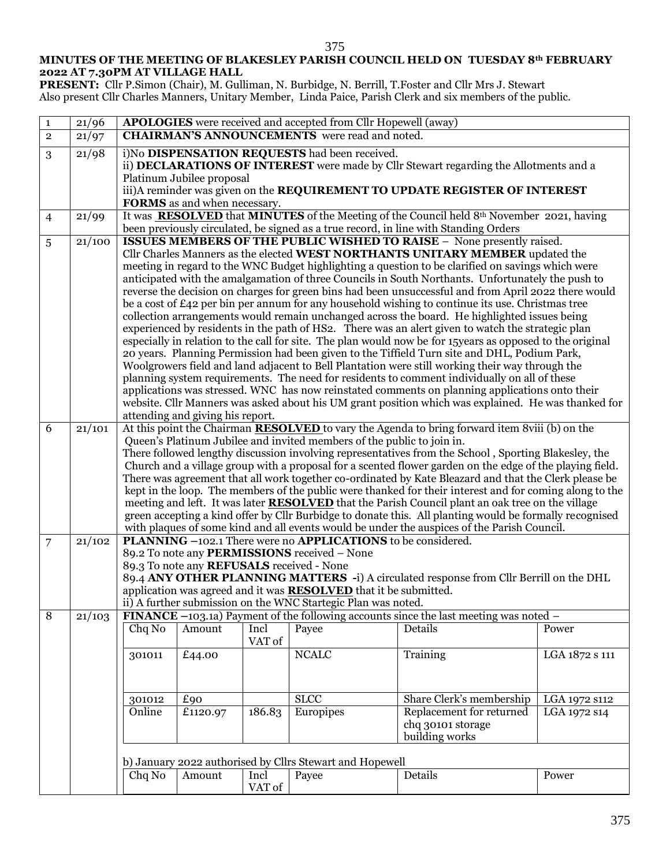## **MINUTES OF THE MEETING OF BLAKESLEY PARISH COUNCIL HELD ON TUESDAY 8th FEBRUARY 2022 AT 7.30PM AT VILLAGE HALL**

375

**PRESENT:** Cllr P.Simon (Chair), M. Gulliman, N. Burbidge, N. Berrill, T.Foster and Cllr Mrs J. Stewart Also present Cllr Charles Manners, Unitary Member, Linda Paice, Parish Clerk and six members of the public.

| $\mathbf{1}$   | 21/96  |                                                                                                                                                                                                                                                                                                                                                                                                                                                                                                                                                                                                                                                                                                                                                                                                                                                                                                                                                                                                                                                                                                                                                                                                           |                                  |                | <b>APOLOGIES</b> were received and accepted from Cllr Hopewell (away) |                                                                                                                                                                     |                |
|----------------|--------|-----------------------------------------------------------------------------------------------------------------------------------------------------------------------------------------------------------------------------------------------------------------------------------------------------------------------------------------------------------------------------------------------------------------------------------------------------------------------------------------------------------------------------------------------------------------------------------------------------------------------------------------------------------------------------------------------------------------------------------------------------------------------------------------------------------------------------------------------------------------------------------------------------------------------------------------------------------------------------------------------------------------------------------------------------------------------------------------------------------------------------------------------------------------------------------------------------------|----------------------------------|----------------|-----------------------------------------------------------------------|---------------------------------------------------------------------------------------------------------------------------------------------------------------------|----------------|
| $\mathbf{2}$   | 21/97  |                                                                                                                                                                                                                                                                                                                                                                                                                                                                                                                                                                                                                                                                                                                                                                                                                                                                                                                                                                                                                                                                                                                                                                                                           |                                  |                | <b>CHAIRMAN'S ANNOUNCEMENTS</b> were read and noted.                  |                                                                                                                                                                     |                |
| 3              | 21/98  |                                                                                                                                                                                                                                                                                                                                                                                                                                                                                                                                                                                                                                                                                                                                                                                                                                                                                                                                                                                                                                                                                                                                                                                                           | Platinum Jubilee proposal        |                | i)No DISPENSATION REQUESTS had been received.                         | ii) DECLARATIONS OF INTEREST were made by Cllr Stewart regarding the Allotments and a<br>iii)A reminder was given on the REQUIREMENT TO UPDATE REGISTER OF INTEREST |                |
|                | 21/99  |                                                                                                                                                                                                                                                                                                                                                                                                                                                                                                                                                                                                                                                                                                                                                                                                                                                                                                                                                                                                                                                                                                                                                                                                           | FORMS as and when necessary.     |                |                                                                       | It was <b>RESOLVED</b> that <b>MINUTES</b> of the Meeting of the Council held $8th$ November 2021, having                                                           |                |
| $\overline{4}$ |        |                                                                                                                                                                                                                                                                                                                                                                                                                                                                                                                                                                                                                                                                                                                                                                                                                                                                                                                                                                                                                                                                                                                                                                                                           |                                  |                |                                                                       | been previously circulated, be signed as a true record, in line with Standing Orders                                                                                |                |
| 5              | 21/100 | <b>ISSUES MEMBERS OF THE PUBLIC WISHED TO RAISE - None presently raised.</b><br>Cllr Charles Manners as the elected WEST NORTHANTS UNITARY MEMBER updated the<br>meeting in regard to the WNC Budget highlighting a question to be clarified on savings which were<br>anticipated with the amalgamation of three Councils in South Northants. Unfortunately the push to<br>reverse the decision on charges for green bins had been unsuccessful and from April 2022 there would<br>be a cost of £42 per bin per annum for any household wishing to continue its use. Christmas tree<br>collection arrangements would remain unchanged across the board. He highlighted issues being<br>experienced by residents in the path of HS2. There was an alert given to watch the strategic plan<br>especially in relation to the call for site. The plan would now be for 15 years as opposed to the original<br>20 years. Planning Permission had been given to the Tiffield Turn site and DHL, Podium Park,<br>Woolgrowers field and land adjacent to Bell Plantation were still working their way through the<br>planning system requirements. The need for residents to comment individually on all of these |                                  |                |                                                                       |                                                                                                                                                                     |                |
|                |        | applications was stressed. WNC has now reinstated comments on planning applications onto their<br>website. Cllr Manners was asked about his UM grant position which was explained. He was thanked for                                                                                                                                                                                                                                                                                                                                                                                                                                                                                                                                                                                                                                                                                                                                                                                                                                                                                                                                                                                                     |                                  |                |                                                                       |                                                                                                                                                                     |                |
|                |        |                                                                                                                                                                                                                                                                                                                                                                                                                                                                                                                                                                                                                                                                                                                                                                                                                                                                                                                                                                                                                                                                                                                                                                                                           | attending and giving his report. |                |                                                                       |                                                                                                                                                                     |                |
| 6              | 21/101 | At this point the Chairman RESOLVED to vary the Agenda to bring forward item 8viii (b) on the<br>Queen's Platinum Jubilee and invited members of the public to join in.<br>There followed lengthy discussion involving representatives from the School, Sporting Blakesley, the<br>Church and a village group with a proposal for a scented flower garden on the edge of the playing field.<br>There was agreement that all work together co-ordinated by Kate Bleazard and that the Clerk please be<br>kept in the loop. The members of the public were thanked for their interest and for coming along to the<br>meeting and left. It was later <b>RESOLVED</b> that the Parish Council plant an oak tree on the village<br>green accepting a kind offer by Cllr Burbidge to donate this. All planting would be formally recognised<br>with plaques of some kind and all events would be under the auspices of the Parish Council.                                                                                                                                                                                                                                                                      |                                  |                |                                                                       |                                                                                                                                                                     |                |
| 7              | 21/102 | PLANNING -102.1 There were no APPLICATIONS to be considered.                                                                                                                                                                                                                                                                                                                                                                                                                                                                                                                                                                                                                                                                                                                                                                                                                                                                                                                                                                                                                                                                                                                                              |                                  |                |                                                                       |                                                                                                                                                                     |                |
|                |        | 89.2 To note any PERMISSIONS received - None<br>89.3 To note any REFUSALS received - None<br>89.4 ANY OTHER PLANNING MATTERS -i) A circulated response from Cllr Berrill on the DHL<br>application was agreed and it was <b>RESOLVED</b> that it be submitted.<br>ii) A further submission on the WNC Startegic Plan was noted.<br>FINANCE $-103.1a$ ) Payment of the following accounts since the last meeting was noted $-$                                                                                                                                                                                                                                                                                                                                                                                                                                                                                                                                                                                                                                                                                                                                                                             |                                  |                |                                                                       |                                                                                                                                                                     |                |
| $\overline{8}$ | 21/103 |                                                                                                                                                                                                                                                                                                                                                                                                                                                                                                                                                                                                                                                                                                                                                                                                                                                                                                                                                                                                                                                                                                                                                                                                           |                                  |                |                                                                       |                                                                                                                                                                     |                |
|                |        | Chq No                                                                                                                                                                                                                                                                                                                                                                                                                                                                                                                                                                                                                                                                                                                                                                                                                                                                                                                                                                                                                                                                                                                                                                                                    | Amount                           | Incl<br>VAT of | Payee                                                                 | Details                                                                                                                                                             | Power          |
|                |        | 301011                                                                                                                                                                                                                                                                                                                                                                                                                                                                                                                                                                                                                                                                                                                                                                                                                                                                                                                                                                                                                                                                                                                                                                                                    | £44.00                           |                | <b>NCALC</b>                                                          | Training                                                                                                                                                            | LGA 1872 s 111 |
|                |        | 301012                                                                                                                                                                                                                                                                                                                                                                                                                                                                                                                                                                                                                                                                                                                                                                                                                                                                                                                                                                                                                                                                                                                                                                                                    | £90                              |                | <b>SLCC</b>                                                           | Share Clerk's membership                                                                                                                                            | LGA 1972 s112  |
|                |        | Online                                                                                                                                                                                                                                                                                                                                                                                                                                                                                                                                                                                                                                                                                                                                                                                                                                                                                                                                                                                                                                                                                                                                                                                                    | £1120.97                         | 186.83         | Europipes                                                             | Replacement for returned<br>chq 30101 storage<br>building works                                                                                                     | LGA 1972 S14   |
|                |        |                                                                                                                                                                                                                                                                                                                                                                                                                                                                                                                                                                                                                                                                                                                                                                                                                                                                                                                                                                                                                                                                                                                                                                                                           |                                  |                |                                                                       |                                                                                                                                                                     |                |
|                |        | Chq No                                                                                                                                                                                                                                                                                                                                                                                                                                                                                                                                                                                                                                                                                                                                                                                                                                                                                                                                                                                                                                                                                                                                                                                                    | Amount                           | Incl<br>VAT of | b) January 2022 authorised by Cllrs Stewart and Hopewell<br>Payee     | Details                                                                                                                                                             | Power          |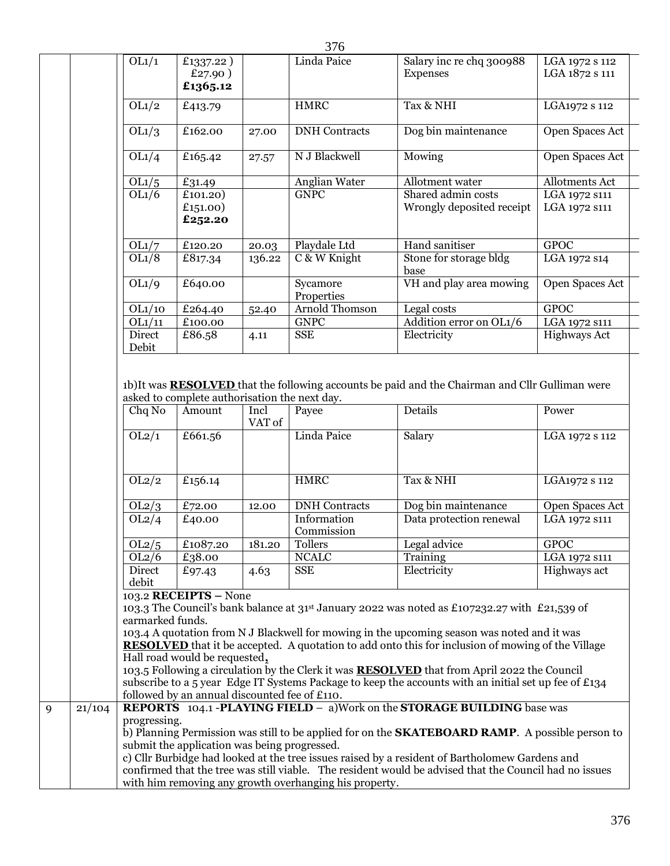|             | OL1/1                  | £1337.22)                                              |        |                           |                                                                                                                                                                                                                                                                                                                                                                                                                                                                                                                                     |                                  |
|-------------|------------------------|--------------------------------------------------------|--------|---------------------------|-------------------------------------------------------------------------------------------------------------------------------------------------------------------------------------------------------------------------------------------------------------------------------------------------------------------------------------------------------------------------------------------------------------------------------------------------------------------------------------------------------------------------------------|----------------------------------|
|             |                        | £27.90)<br>£1365.12                                    |        | Linda Paice               | Salary inc re chq 300988<br>Expenses                                                                                                                                                                                                                                                                                                                                                                                                                                                                                                | LGA 1972 s 112<br>LGA 1872 s 111 |
|             | OL1/2                  | £413.79                                                |        | <b>HMRC</b>               | Tax & NHI                                                                                                                                                                                                                                                                                                                                                                                                                                                                                                                           | LGA1972 s 112                    |
|             | OL1/3                  | £162.00                                                | 27.00  | <b>DNH</b> Contracts      | Dog bin maintenance                                                                                                                                                                                                                                                                                                                                                                                                                                                                                                                 | Open Spaces Act                  |
|             | OL1/4                  | £165.42                                                | 27.57  | N J Blackwell             | Mowing                                                                                                                                                                                                                                                                                                                                                                                                                                                                                                                              | Open Spaces Act                  |
|             | OL1/5                  | £31.49                                                 |        | Anglian Water             | Allotment water                                                                                                                                                                                                                                                                                                                                                                                                                                                                                                                     | Allotments Act                   |
|             | OL1/6                  | £101.20)                                               |        | <b>GNPC</b>               | Shared admin costs                                                                                                                                                                                                                                                                                                                                                                                                                                                                                                                  | LGA 1972 s111                    |
|             |                        | £151.00)<br>£252.20                                    |        |                           | Wrongly deposited receipt                                                                                                                                                                                                                                                                                                                                                                                                                                                                                                           | LGA 1972 s111                    |
|             | OL1/7                  | £120.20                                                | 20.03  | Playdale Ltd              | Hand sanitiser                                                                                                                                                                                                                                                                                                                                                                                                                                                                                                                      | <b>GPOC</b>                      |
|             | OL1/8                  | £817.34                                                | 136.22 | $\overline{C$ & W Knight  | Stone for storage bldg<br>base                                                                                                                                                                                                                                                                                                                                                                                                                                                                                                      | LGA 1972 s14                     |
|             | OL1/9                  | £640.00                                                |        | Sycamore<br>Properties    | VH and play area mowing                                                                                                                                                                                                                                                                                                                                                                                                                                                                                                             | <b>Open Spaces Act</b>           |
|             | OL1/10                 | £264.40                                                | 52.40  | <b>Arnold Thomson</b>     | Legal costs                                                                                                                                                                                                                                                                                                                                                                                                                                                                                                                         | <b>GPOC</b>                      |
|             | OL1/11                 | £100.00                                                |        | <b>GNPC</b>               | Addition error on OL1/6                                                                                                                                                                                                                                                                                                                                                                                                                                                                                                             | LGA 1972 S111                    |
|             | <b>Direct</b><br>Debit | £86.58                                                 | 4.11   | SSE                       | Electricity                                                                                                                                                                                                                                                                                                                                                                                                                                                                                                                         | <b>Highways Act</b>              |
|             | OL2/1                  | £661.56                                                | VAT of | Linda Paice               | Salary                                                                                                                                                                                                                                                                                                                                                                                                                                                                                                                              | LGA 1972 s 112                   |
|             | OL2/2                  | £156.14                                                |        | <b>HMRC</b>               | Tax & NHI                                                                                                                                                                                                                                                                                                                                                                                                                                                                                                                           | LGA1972 s 112                    |
|             | $\overline{OL2/3}$     | £72.00                                                 | 12.00  | <b>DNH</b> Contracts      | Dog bin maintenance                                                                                                                                                                                                                                                                                                                                                                                                                                                                                                                 | Open Spaces Act                  |
|             | OL2/4                  | £40.00                                                 |        | Information<br>Commission | Data protection renewal                                                                                                                                                                                                                                                                                                                                                                                                                                                                                                             | LGA 1972 s111                    |
|             | OL2/5                  | £1087.20                                               | 181.20 | Tollers                   | Legal advice                                                                                                                                                                                                                                                                                                                                                                                                                                                                                                                        | <b>GPOC</b>                      |
|             | OL2/6                  | £38.00                                                 |        | <b>NCALC</b>              | Training                                                                                                                                                                                                                                                                                                                                                                                                                                                                                                                            | LGA 1972 S111                    |
|             | Direct<br>debit        | £97.43                                                 | 4.63   | <b>SSE</b>                | Electricity                                                                                                                                                                                                                                                                                                                                                                                                                                                                                                                         | Highways act                     |
|             | earmarked funds.       | 103.2 RECEIPTS - None<br>Hall road would be requested, |        |                           | 103.3 The Council's bank balance at 31 <sup>st</sup> January 2022 was noted as £107232.27 with £21,539 of<br>103.4 A quotation from N J Blackwell for mowing in the upcoming season was noted and it was<br><b>RESOLVED</b> that it be accepted. A quotation to add onto this for inclusion of mowing of the Village<br>103.5 Following a circulation by the Clerk it was <b>RESOLVED</b> that from April 2022 the Council<br>subscribe to a 5 year Edge IT Systems Package to keep the accounts with an initial set up fee of £134 |                                  |
|             |                        | followed by an annual discounted fee of £110.          |        |                           |                                                                                                                                                                                                                                                                                                                                                                                                                                                                                                                                     |                                  |
| 21/104<br>9 | progressing.           |                                                        |        |                           | <b>REPORTS</b> 104.1 - PLAYING FIELD - a)Work on the <b>STORAGE BUILDING</b> base was                                                                                                                                                                                                                                                                                                                                                                                                                                               |                                  |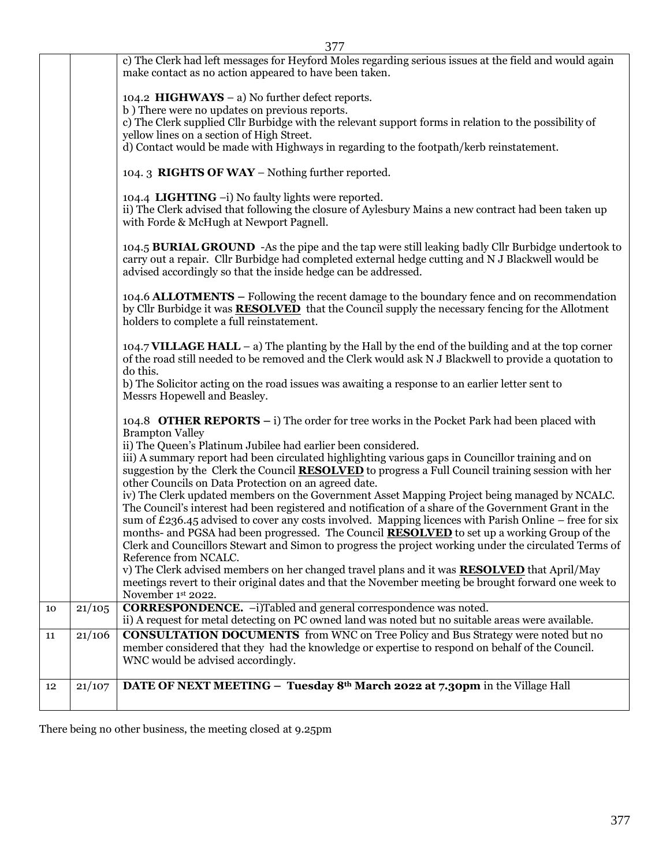|    |        | 377                                                                                                                                                                                                                                                                                                                                                                                                                                                                                                                                                      |  |  |  |  |  |  |
|----|--------|----------------------------------------------------------------------------------------------------------------------------------------------------------------------------------------------------------------------------------------------------------------------------------------------------------------------------------------------------------------------------------------------------------------------------------------------------------------------------------------------------------------------------------------------------------|--|--|--|--|--|--|
|    |        | c) The Clerk had left messages for Heyford Moles regarding serious issues at the field and would again<br>make contact as no action appeared to have been taken.                                                                                                                                                                                                                                                                                                                                                                                         |  |  |  |  |  |  |
|    |        | 104.2 HIGHWAYS $-$ a) No further defect reports.<br>b) There were no updates on previous reports.<br>c) The Clerk supplied Cllr Burbidge with the relevant support forms in relation to the possibility of<br>yellow lines on a section of High Street.<br>d) Contact would be made with Highways in regarding to the footpath/kerb reinstatement.                                                                                                                                                                                                       |  |  |  |  |  |  |
|    |        | 104.3 RIGHTS OF WAY - Nothing further reported.                                                                                                                                                                                                                                                                                                                                                                                                                                                                                                          |  |  |  |  |  |  |
|    |        | 104.4 LIGHTING -i) No faulty lights were reported.<br>ii) The Clerk advised that following the closure of Aylesbury Mains a new contract had been taken up<br>with Forde & McHugh at Newport Pagnell.                                                                                                                                                                                                                                                                                                                                                    |  |  |  |  |  |  |
|    |        | 104.5 BURIAL GROUND - As the pipe and the tap were still leaking badly Cllr Burbidge undertook to<br>carry out a repair. Cllr Burbidge had completed external hedge cutting and N J Blackwell would be<br>advised accordingly so that the inside hedge can be addressed.                                                                                                                                                                                                                                                                                 |  |  |  |  |  |  |
|    |        | 104.6 ALLOTMENTS – Following the recent damage to the boundary fence and on recommendation<br>by Cllr Burbidge it was <b>RESOLVED</b> that the Council supply the necessary fencing for the Allotment<br>holders to complete a full reinstatement.                                                                                                                                                                                                                                                                                                       |  |  |  |  |  |  |
|    |        | 104.7 VILLAGE HALL $-$ a) The planting by the Hall by the end of the building and at the top corner<br>of the road still needed to be removed and the Clerk would ask N J Blackwell to provide a quotation to<br>do this.                                                                                                                                                                                                                                                                                                                                |  |  |  |  |  |  |
|    |        | b) The Solicitor acting on the road issues was awaiting a response to an earlier letter sent to<br>Messrs Hopewell and Beasley.                                                                                                                                                                                                                                                                                                                                                                                                                          |  |  |  |  |  |  |
|    |        | 104.8 <b>OTHER REPORTS</b> – i) The order for tree works in the Pocket Park had been placed with<br><b>Brampton Valley</b><br>ii) The Queen's Platinum Jubilee had earlier been considered.                                                                                                                                                                                                                                                                                                                                                              |  |  |  |  |  |  |
|    |        | iii) A summary report had been circulated highlighting various gaps in Councillor training and on<br>suggestion by the Clerk the Council <b>RESOLVED</b> to progress a Full Council training session with her<br>other Councils on Data Protection on an agreed date.                                                                                                                                                                                                                                                                                    |  |  |  |  |  |  |
|    |        | iv) The Clerk updated members on the Government Asset Mapping Project being managed by NCALC.<br>The Council's interest had been registered and notification of a share of the Government Grant in the<br>sum of £236.45 advised to cover any costs involved. Mapping licences with Parish Online – free for six<br>months- and PGSA had been progressed. The Council <b>RESOLVED</b> to set up a working Group of the<br>Clerk and Councillors Stewart and Simon to progress the project working under the circulated Terms of<br>Reference from NCALC. |  |  |  |  |  |  |
|    |        | v) The Clerk advised members on her changed travel plans and it was <b>RESOLVED</b> that April/May<br>meetings revert to their original dates and that the November meeting be brought forward one week to<br>November 1st 2022.                                                                                                                                                                                                                                                                                                                         |  |  |  |  |  |  |
| 10 | 21/105 | <b>CORRESPONDENCE.</b> -i)Tabled and general correspondence was noted.<br>ii) A request for metal detecting on PC owned land was noted but no suitable areas were available.                                                                                                                                                                                                                                                                                                                                                                             |  |  |  |  |  |  |
| 11 | 21/106 | <b>CONSULTATION DOCUMENTS</b> from WNC on Tree Policy and Bus Strategy were noted but no<br>member considered that they had the knowledge or expertise to respond on behalf of the Council.<br>WNC would be advised accordingly.                                                                                                                                                                                                                                                                                                                         |  |  |  |  |  |  |
| 12 | 21/107 | DATE OF NEXT MEETING - Tuesday 8th March 2022 at 7.30pm in the Village Hall                                                                                                                                                                                                                                                                                                                                                                                                                                                                              |  |  |  |  |  |  |

There being no other business, the meeting closed at 9.25pm